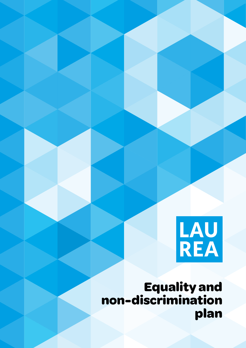

**Equality and non-discrimination plan**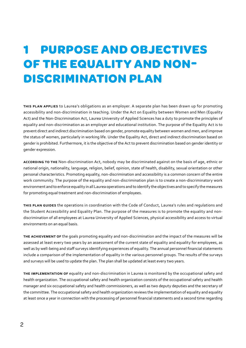## **1 PURPOSE AND OBJECTIVES OF THE EQUALITY AND NON-DISCRIMINATION PLAN**

**this plan applies** to Laurea's obligations as an employer. A separate plan has been drawn up for promoting accessibility and non-discrimination in teaching. Under the Act on Equality between Women and Men (Equality Act) and the Non-Discrimination Act, Laurea University of Applied Sciences has a duty to promote the principles of equality and non-discrimination as an employer and educational institution. The purpose of the Equality Act is to prevent direct and indirect discrimination based on gender, promote equality between women and men, and improve the status of women, particularly in working life. Under the Equality Act, direct and indirect discrimination based on gender is prohibited. Furthermore, it is the objective of the Act to prevent discrimination based on gender identity or gender expression.

**according to the** Non-discrimination Act, nobody may be discriminated against on the basis of age, ethnic or national origin, nationality, language, religion, belief, opinion, state of health, disability, sexual orientation or other personal characteristics. Promoting equality, non-discrimination and accessibility is a common concern of the entire work community. The purpose of the equality and non-discrimination plan is to create a non-discriminatory work environment and to enforce equality in all Laurea operations and to identify the objectives and to specify the measures for promoting equal treatment and non-discrimination of employees.

**this plan guides** the operations in coordination with the Code of Conduct, Laurea's rules and regulations and the Student Accessibility and Equality Plan. The purpose of the measures is to promote the equality and nondiscrimination of all employees at Laurea University of Applied Sciences, physical accessibility and access to virtual environments on an equal basis.

**the achievement of** the goals promoting equality and non-discrimination and the impact of the measures will be assessed at least every two years by an assessment of the current state of equality and equality for employees, as well as by well-being and staff surveys identifying experiences of equality. The annual personnel financial statements include a comparison of the implementation of equality in the various personnel groups. The results of the surveys and surveys will be used to update the plan. The plan shall be updated at least every two years.

**the implementation of** equality and non-discrimination in Laurea is monitored by the occupational safety and health organization. The occupational safety and health organization consists of the occupational safety and health manager and six occupational safety and health commissioners, as well as two deputy deputies and the secretary of the committee. The occupational safety and health organization reviews the implementation of equality and equality at least once a year in connection with the processing of personnel financial statements and a second time regarding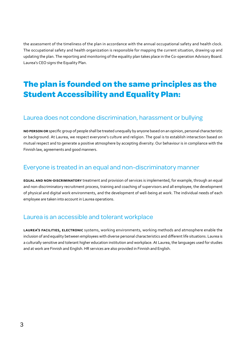the assessment of the timeliness of the plan in accordance with the annual occupational safety and health clock. The occupational safety and health organization is responsible for mapping the current situation, drawing up and updating the plan. The reporting and monitoring of the equality plan takes place in the Co-operation Advisory Board. Laurea's CEO signs the Equality Plan.

## **The plan is founded on the same principles as the Student Accessibility and Equality Plan:**

#### Laurea does not condone discrimination, harassment or bullying

**no person or** specific group of people shall be treated unequally by anyone based on an opinion, personal characteristic or background. At Laurea, we respect everyone's culture and religion. The goal is to establish interaction based on mutual respect and to generate a positive atmosphere by accepting diversity. Our behaviour is in compliance with the Finnish law, agreements and good manners.

#### Everyone is treated in an equal and non-discriminatory manner

**equal and non-discriminatory** treatment and provision of services is implemented, for example, through an equal and non-discriminatory recruitment process, training and coaching of supervisors and all employee, the development of physical and digital work environments, and the development of well-being at work. The individual needs of each employee are taken into account in Laurea operations.

#### Laurea is an accessible and tolerant workplace

**laurea's facilities, electronic** systems, working environments, working methods and atmosphere enable the inclusion of and equality between employees with diverse personal characteristics and different life situations. Laurea is a culturally sensitive and tolerant higher education institution and workplace. At Laurea, the languages used for studies and at work are Finnish and English. HR services are also provided in Finnish and English.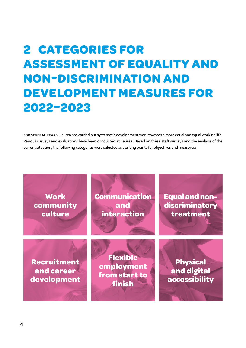# **2 CATEGORIES FOR ASSESSMENT OF EQUALITY AND NON-DISCRIMINATION AND DEVELOPMENT MEASURES FOR 2022–2023**

**for several years**, Laurea has carried out systematic development work towards a more equal and equal working life. Various surveys and evaluations have been conducted at Laurea. Based on these staff surveys and the analysis of the current situation, the following categories were selected as starting points for objectives and measures:

**Work community culture**

**Communication and interaction**

**Equal and nondiscriminatory treatment** 

**Recruitment and career development**

**Flexible employment from start to finish**

**Physical and digital accessibility**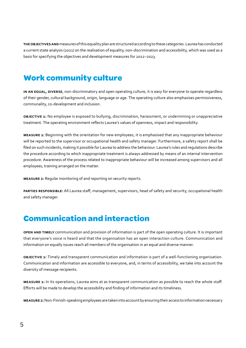**the objectives and** measures of this equality plan are structured according to these categories. Laurea has conducted a current state analysis (2021) on the realisation of equality, non-discrimination and accessibility, which was used as a basis for specifying the objectives and development measures for 2022–2023.

### **Work community culture**

**in an equal, diverse**, non-discriminatory and open operating culture, it is easy for everyone to operate regardless of their gender, cultural background, origin, language or age. The operating culture also emphasises permissiveness, communality, co-development and inclusion.

**objective 1:** No employee is exposed to bullying, discrimination, harassment, or undermining or unappreciative treatment. The operating environment reflects Laurea's values of openness, impact and responsibility.

**measure 1:** Beginning with the orientation for new employees, it is emphasised that any inappropriate behaviour will be reported to the supervisor or occupational health and safety manager. Furthermore, a safety report shall be filed on such incidents, making it possible for Laurea to address the behaviour. Laurea's rules and regulations describe the procedure according to which inappropriate treatment is always addressed by means of an internal intervention procedure. Awareness of the process related to inappropriate behaviour will be increased among supervisors and all employees, training arranged on the matter.

**measure 2:** Regular monitoring of and reporting on security reports.

**parties responsible:** All Laurea staff; management, supervisors, head of safety and security, occupational health and safety manager.

### **Communication and interaction**

**open and timely** communication and provision of information is part of the open operating culture. It is important that everyone's voice is heard and that the organisation has an open interaction culture. Communication and information on equally issues reach all members of the organisation in an equal and diverse manner.

**objective 1:** Timely and transparent communication and information is part of a well-functioning organisation. Communication and information are accessible to everyone, and, in terms of accessibility, we take into account the diversity of message recipients.

**measure 1:** In its operations, Laurea aims at as transparent communication as possible to reach the whole staff. Efforts will be made to develop the accessibility and finding of information and its timeliness.

**measure 2:** Non-Finnish-speaking employees are taken into account by ensuring their access to information necessary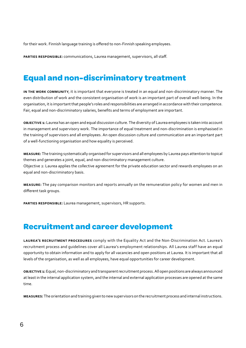for their work. Finnish language training is offered to non-Finnish speaking employees.

**parties responsible:** communications, Laurea management, supervisors, all staff.

### **Equal and non-discriminatory treatment**

**in the work community**, it is important that everyone is treated in an equal and non-discriminatory manner. The even distribution of work and the consistent organisation of work is an important part of overall well-being. In the organisation, it is important that people's roles and responsibilities are arranged in accordance with their competence. Fair, equal and non-discriminatory salaries, benefits and terms of employment are important.

**objective 1:** Laurea has an open and equal discussion culture. The diversity of Laurea employees is taken into account in management and supervisory work. The importance of equal treatment and non-discrimination is emphasised in the training of supervisors and all employees. An open discussion culture and communication are an important part of a well-functioning organisation and how equality is perceived.

**measure:** The training systematically organised for supervisors and all employees by Laurea pays attention to topical themes and generates a joint, equal, and non-discriminatory management culture. Objective 2: Laurea applies the collective agreement for the private education sector and rewards employees on an equal and non-discriminatory basis.

**measure:** The pay comparison monitors and reports annually on the remuneration policy for women and men in different task groups.

**parties responsible:** Laurea management, supervisors, HR supports.

#### **Recruitment and career development**

**laurea's recruitment procedures** comply with the Equality Act and the Non-Discrimination Act. Laurea's recruitment process and guidelines cover all Laurea's employment relationships. All Laurea staff have an equal opportunity to obtain information and to apply for all vacancies and open positions at Laurea. It is important that all levels of the organisation, as well as all employees, have equal opportunities for career development.

**objective 1:** Equal, non-discriminatory and transparent recruitment process. All open positions are always announced at least in the internal application system, and the internal and external application processes are opened at the same time.

**measures:** The orientation and training given to new supervisors on the recruitment process and internal instructions.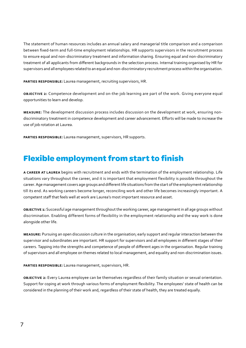The statement of human resources includes an annual salary and managerial title comparison and a comparison between fixed-term and full-time employment relationships. HR supports supervisors in the recruitment process to ensure equal and non-discriminatory treatment and information sharing. Ensuring equal and non-discriminatory treatment of all applicants from different backgrounds in the selection process. Internal training organised by HR for supervisors and all employees related to an equal and non-discriminatory recruitment process within the organisation.

**parties responsible:** Laurea management, recruiting supervisors, HR.

**objective 2:** Competence development and on-the-job learning are part of the work. Giving everyone equal opportunities to learn and develop.

**measure:** The development discussion process includes discussion on the development at work, ensuring nondiscriminatory treatment in competence development and career advancement. Efforts will be made to increase the use of job rotation at Laurea.

**parties responsible:** Laurea management, supervisors, HR supports.

### **Flexible employment from start to finish**

**a career at laurea** begins with recruitment and ends with the termination of the employment relationship. Life situations vary throughout the career, and it is important that employment flexibility is possible throughout the career. Age management covers age groups and different life situations from the start of the employment relationship till its end. As working careers become longer, reconciling work and other life becomes increasingly important. A competent staff that feels well at work are Laurea's most important resource and asset.

**objective 1:** Successful age management throughout the working career, age management in all age groups without discrimination. Enabling different forms of flexibility in the employment relationship and the way work is done alongside other life.

**measure:** Pursuing an open discussion culture in the organisation; early support and regular interaction between the supervisor and subordinates are important. HR support for supervisors and all employees in different stages of their careers. Tapping into the strengths and competence of people of different ages in the organisation. Regular training of supervisors and all employee on themes related to local management, and equality and non-discrimination issues.

**parties responsible:** Laurea management, supervisors, HR.

**objective 2:** Every Laurea employee can be themselves regardless of their family situation or sexual orientation. Support for coping at work through various forms of employment flexibility. The employees' state of health can be considered in the planning of their work and, regardless of their state of health, they are treated equally.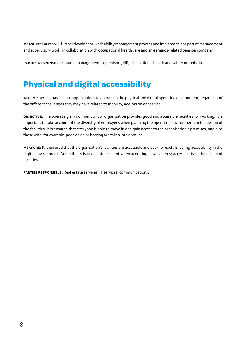**measure:** Laurea will further develop the work ability management process and implement it as part of management and supervisory work, in collaboration with occupational health care and an earnings-related pension company.

**parties responsible:** Laurea management, supervisors, HR, occupational health and safety organisation

## **Physical and digital accessibility**

**all employees have** equal opportunities to operate in the physical and digital operating environment, regardless of the different challenges they may have related to mobility, age, vision or hearing.

**objective:** The operating environment of our organisation provides good and accessible facilities for working. It is important to take account of the diversity of employees when planning the operating environment. In the design of the facilities, it is ensured that everyone is able to move in and gain access to the organisation's premises, and also those with, for example, poor vision or hearing are taken into account.

**measure:** It is ensured that the organisation's facilities are accessible and easy to reach. Ensuring accessibility in the digital environment. Accessibility is taken into account when acquiring new systems; accessibility in the design of facilities.

**parties responsible:** Real estate services, IT services, communications.